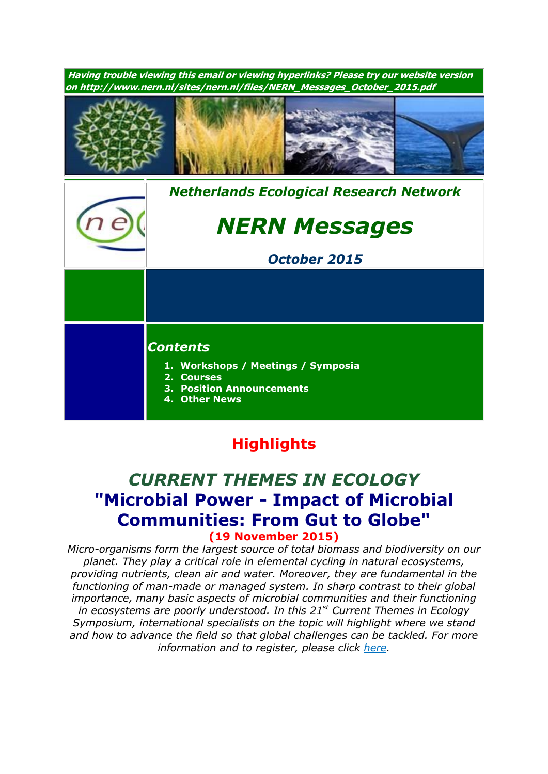

# **Highlights**

# *CURRENT THEMES IN ECOLOGY* **"Microbial Power - Impact of Microbial Communities: From Gut to Globe" (19 November 2015)**

*Micro-organisms form the largest source of total biomass and biodiversity on our planet. They play a critical role in elemental cycling in natural ecosystems, providing nutrients, clean air and water. Moreover, they are fundamental in the functioning of man-made or managed system. In sharp contrast to their global importance, many basic aspects of microbial communities and their functioning in ecosystems are poorly understood. In this 21 st Current Themes in Ecology Symposium, international specialists on the topic will highlight where we stand and how to advance the field so that global challenges can be tackled. For more information and to register, please click [here.](http://nern.nl/CT2015)*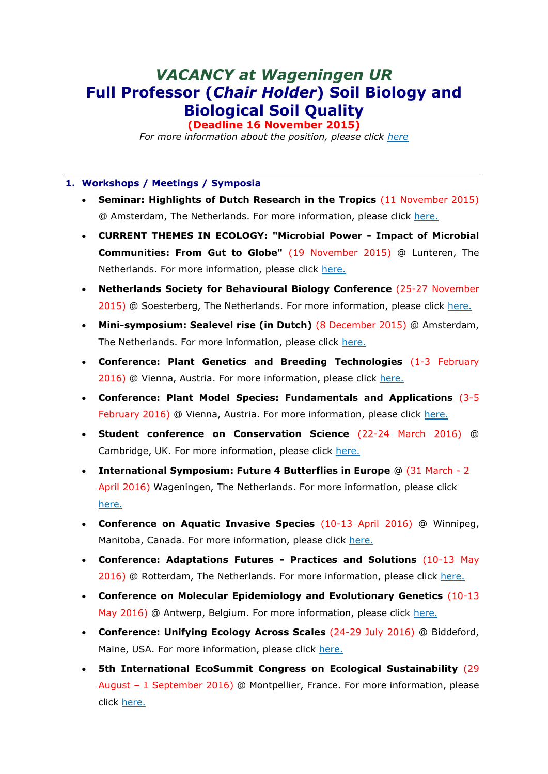# *VACANCY at Wageningen UR* **Full Professor (***Chair Holder***) Soil Biology and Biological Soil Quality**

**(Deadline 16 November 2015)**

*For more information about the position, please click [here](http://nern.nl/sites/nern.nl/files/Advert%2009-10.pdf)*

#### **1. Workshops / Meetings / Symposia**

- **Seminar: Highlights of Dutch Research in the Tropics** (11 November 2015) @ Amsterdam, The Netherlands. For more information, please click [here.](http://ibed.uva.nl/news-events/events/events/events/content/folder/symposia/2015/11/highlights-of-dutch-research-in-the-tropics.html)
- **CURRENT THEMES IN ECOLOGY: "Microbial Power - Impact of Microbial Communities: From Gut to Globe"** (19 November 2015) @ Lunteren, The Netherlands. For more information, please click [here.](http://nern.nl/CT2015)
- **Netherlands Society for Behavioural Biology Conference** (25-27 November 2015) @ Soesterberg, The Netherlands. For more information, please click [here.](http://www.gedragsbiologie.nl/)
- **Mini-symposium: Sealevel rise (in Dutch)** (8 December 2015) @ Amsterdam, The Netherlands. For more information, please click [here.](http://knaw.nl/nl/actueel/agenda/zeespiegelstijging)
- **Conference: Plant Genetics and Breeding Technologies** (1-3 February 2016) @ Vienna, Austria. For more information, please click [here.](http://viscea.org/index.php/plant-genetics-breeding)
- **Conference: Plant Model Species: Fundamentals and Applications** (3-5 February 2016) @ Vienna, Austria. For more information, please click [here.](http://viscea.org/index.php/plant-model-species)
- **Student conference on Conservation Science** (22-24 March 2016) @ Cambridge, UK. For more information, please click [here.](http://sccs-cam.org/index.htm)
- **International Symposium: Future 4 Butterflies in Europe** @ (31 March 2 April 2016) Wageningen, The Netherlands. For more information, please click [here.](http://www.futureofbutterflies.nl/index.php?id=257)
- **Conference on Aquatic Invasive Species** (10-13 April 2016) @ Winnipeg, Manitoba, Canada. For more information, please click [here.](http://www.icais.org/)
- **Conference: Adaptations Futures - Practices and Solutions** (10-13 May 2016) @ Rotterdam, The Netherlands. For more information, please click [here.](http://www.adaptationfutures2016.org/)
- **Conference on Molecular Epidemiology and Evolutionary Genetics** (10-13 May 2016) @ Antwerp, Belgium. For more information, please click [here.](http://www.meegidconference.com/)
- **Conference: Unifying Ecology Across Scales** (24-29 July 2016) @ Biddeford, Maine, USA. For more information, please click [here.](https://www.grc.org/programs.aspx?id=13261)
- **5th International EcoSummit Congress on Ecological Sustainability** (29 August – 1 September 2016) @ Montpellier, France. For more information, please click [here.](http://www.ecosummit2016.org/)